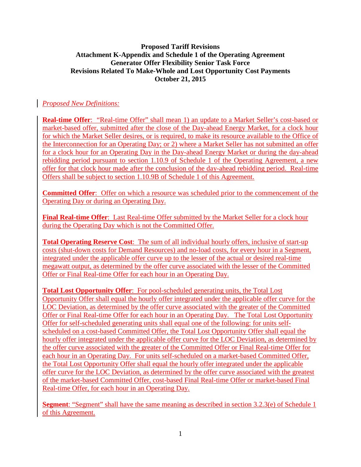#### **Proposed Tariff Revisions Attachment K-Appendix and Schedule 1 of the Operating Agreement Generator Offer Flexibility Senior Task Force Revisions Related To Make-Whole and Lost Opportunity Cost Payments October 21, 2015**

# *Proposed New Definitions:*

**Real-time Offer**: "Real-time Offer" shall mean 1) an update to a Market Seller's cost-based or market-based offer, submitted after the close of the Day-ahead Energy Market, for a clock hour for which the Market Seller desires, or is required, to make its resource available to the Office of the Interconnection for an Operating Day; or 2) where a Market Seller has not submitted an offer for a clock hour for an Operating Day in the Day-ahead Energy Market or during the day-ahead rebidding period pursuant to section 1.10.9 of Schedule 1 of the Operating Agreement, a new offer for that clock hour made after the conclusion of the day-ahead rebidding period. Real-time Offers shall be subject to section 1.10.9B of Schedule 1 of this Agreement.

**Committed Offer**: Offer on which a resource was scheduled prior to the commencement of the Operating Day or during an Operating Day.

Final Real-time Offer: Last Real-time Offer submitted by the Market Seller for a clock hour during the Operating Day which is not the Committed Offer.

**Total Operating Reserve Cost**: The sum of all individual hourly offers, inclusive of start-up costs (shut-down costs for Demand Resources) and no-load costs, for every hour in a Segment, integrated under the applicable offer curve up to the lesser of the actual or desired real-time megawatt output, as determined by the offer curve associated with the lesser of the Committed Offer or Final Real-time Offer for each hour in an Operating Day.

**Total Lost Opportunity Offer**: For pool-scheduled generating units, the Total Lost Opportunity Offer shall equal the hourly offer integrated under the applicable offer curve for the LOC Deviation, as determined by the offer curve associated with the greater of the Committed Offer or Final Real-time Offer for each hour in an Operating Day. The Total Lost Opportunity Offer for self-scheduled generating units shall equal one of the following: for units selfscheduled on a cost-based Committed Offer, the Total Lost Opportunity Offer shall equal the hourly offer integrated under the applicable offer curve for the LOC Deviation, as determined by the offer curve associated with the greater of the Committed Offer or Final Real-time Offer for each hour in an Operating Day. For units self-scheduled on a market-based Committed Offer, the Total Lost Opportunity Offer shall equal the hourly offer integrated under the applicable offer curve for the LOC Deviation, as determined by the offer curve associated with the greatest of the market-based Committed Offer, cost-based Final Real-time Offer or market-based Final Real-time Offer, for each hour in an Operating Day.

**Segment:** "Segment" shall have the same meaning as described in section 3.2.3(e) of Schedule 1 of this Agreement.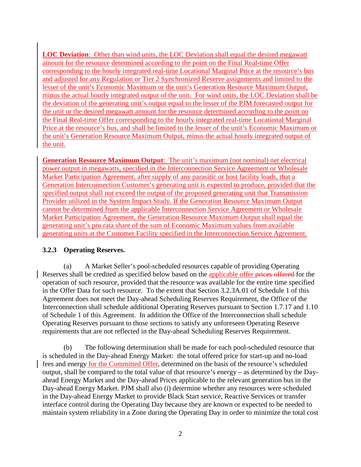**LOC Deviation**: Other than wind units, the LOC Deviation shall equal the desired megawatt amount for the resource determined according to the point on the Final Real-time Offer corresponding to the hourly integrated real-time Locational Marginal Price at the resource's bus and adjusted for any Regulation or Tier 2 Synchronized Reserve assignments and limited to the lesser of the unit's Economic Maximum or the unit's Generation Resource Maximum Output, minus the actual hourly integrated output of the unit. For wind units, the LOC Deviation shall be the deviation of the generating unit's output equal to the lesser of the PJM forecasted output for the unit or the desired megawatt amount for the resource determined according to the point on the Final Real-time Offer corresponding to the hourly integrated real-time Locational Marginal Price at the resource's bus, and shall be limited to the lesser of the unit's Economic Maximum or the unit's Generation Resource Maximum Output, minus the actual hourly integrated output of the unit.

**Generation Resource Maximum Output**: The unit's maximum (not nominal) net electrical power output in megawatts, specified in the Interconnection Service Agreement or Wholesale Market Participation Agreement, after supply of any parasitic or host facility loads, that a Generation Interconnection Customer's generating unit is expected to produce, provided that the specified output shall not exceed the output of the proposed generating unit that Transmission Provider utilized in the System Impact Study. If the Generation Resource Maximum Output cannot be determined from the applicable Interconnection Service Agreement or Wholesale Market Participation Agreement, the Generation Resource Maximum Output shall equal the generating unit's pro rata share of the sum of Economic Maximum values from available generating units at the Customer Facility specified in the Interconnection Service Agreement.

### **3.2.3 Operating Reserves.**

(a) A Market Seller's pool-scheduled resources capable of providing Operating Reserves shall be credited as specified below based on the applicable offer prices offered for the operation of such resource, provided that the resource was available for the entire time specified in the Offer Data for such resource. To the extent that Section 3.2.3A.01 of Schedule 1 of this Agreement does not meet the Day-ahead Scheduling Reserves Requirement, the Office of the Interconnection shall schedule additional Operating Reserves pursuant to Section 1.7.17 and 1.10 of Schedule 1 of this Agreement. In addition the Office of the Interconnection shall schedule Operating Reserves pursuant to those sections to satisfy any unforeseen Operating Reserve requirements that are not reflected in the Day-ahead Scheduling Reserves Requirement.

(b) The following determination shall be made for each pool-scheduled resource that is scheduled in the Day-ahead Energy Market: the total offered price for start-up and no-load fees and energy for the Committed Offer, determined on the basis of the resource's scheduled output, shall be compared to the total value of that resource's energy – as determined by the Dayahead Energy Market and the Day-ahead Prices applicable to the relevant generation bus in the Day-ahead Energy Market. PJM shall also (i) determine whether any resources were scheduled in the Day-ahead Energy Market to provide Black Start service, Reactive Services or transfer interface control during the Operating Day because they are known or expected to be needed to maintain system reliability in a Zone during the Operating Day in order to minimize the total cost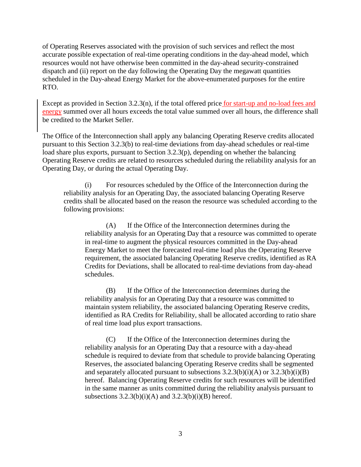of Operating Reserves associated with the provision of such services and reflect the most accurate possible expectation of real-time operating conditions in the day-ahead model, which resources would not have otherwise been committed in the day-ahead security-constrained dispatch and (ii) report on the day following the Operating Day the megawatt quantities scheduled in the Day-ahead Energy Market for the above-enumerated purposes for the entire RTO.

Except as provided in Section 3.2.3(n), if the total offered price for start-up and no-load fees and energy summed over all hours exceeds the total value summed over all hours, the difference shall be credited to the Market Seller.

The Office of the Interconnection shall apply any balancing Operating Reserve credits allocated pursuant to this Section 3.2.3(b) to real-time deviations from day-ahead schedules or real-time load share plus exports, pursuant to Section 3.2.3(p), depending on whether the balancing Operating Reserve credits are related to resources scheduled during the reliability analysis for an Operating Day, or during the actual Operating Day.

(i) For resources scheduled by the Office of the Interconnection during the reliability analysis for an Operating Day, the associated balancing Operating Reserve credits shall be allocated based on the reason the resource was scheduled according to the following provisions:

(A) If the Office of the Interconnection determines during the reliability analysis for an Operating Day that a resource was committed to operate in real-time to augment the physical resources committed in the Day-ahead Energy Market to meet the forecasted real-time load plus the Operating Reserve requirement, the associated balancing Operating Reserve credits, identified as RA Credits for Deviations, shall be allocated to real-time deviations from day-ahead schedules.

(B) If the Office of the Interconnection determines during the reliability analysis for an Operating Day that a resource was committed to maintain system reliability, the associated balancing Operating Reserve credits, identified as RA Credits for Reliability, shall be allocated according to ratio share of real time load plus export transactions.

(C) If the Office of the Interconnection determines during the reliability analysis for an Operating Day that a resource with a day-ahead schedule is required to deviate from that schedule to provide balancing Operating Reserves, the associated balancing Operating Reserve credits shall be segmented and separately allocated pursuant to subsections  $3.2.3(b)(i)(A)$  or  $3.2.3(b)(i)(B)$ hereof. Balancing Operating Reserve credits for such resources will be identified in the same manner as units committed during the reliability analysis pursuant to subsections  $3.2.3(b)(i)(A)$  and  $3.2.3(b)(i)(B)$  hereof.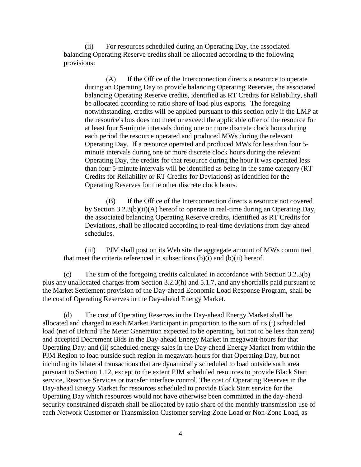(ii) For resources scheduled during an Operating Day, the associated balancing Operating Reserve credits shall be allocated according to the following provisions:

(A) If the Office of the Interconnection directs a resource to operate during an Operating Day to provide balancing Operating Reserves, the associated balancing Operating Reserve credits, identified as RT Credits for Reliability, shall be allocated according to ratio share of load plus exports. The foregoing notwithstanding, credits will be applied pursuant to this section only if the LMP at the resource's bus does not meet or exceed the applicable offer of the resource for at least four 5-minute intervals during one or more discrete clock hours during each period the resource operated and produced MWs during the relevant Operating Day. If a resource operated and produced MWs for less than four 5 minute intervals during one or more discrete clock hours during the relevant Operating Day, the credits for that resource during the hour it was operated less than four 5-minute intervals will be identified as being in the same category (RT Credits for Reliability or RT Credits for Deviations) as identified for the Operating Reserves for the other discrete clock hours.

(B) If the Office of the Interconnection directs a resource not covered by Section 3.2.3(b)(ii)(A) hereof to operate in real-time during an Operating Day, the associated balancing Operating Reserve credits, identified as RT Credits for Deviations, shall be allocated according to real-time deviations from day-ahead schedules.

(iii) PJM shall post on its Web site the aggregate amount of MWs committed that meet the criteria referenced in subsections  $(b)(i)$  and  $(b)(ii)$  hereof.

(c) The sum of the foregoing credits calculated in accordance with Section 3.2.3(b) plus any unallocated charges from Section 3.2.3(h) and 5.1.7, and any shortfalls paid pursuant to the Market Settlement provision of the Day-ahead Economic Load Response Program, shall be the cost of Operating Reserves in the Day-ahead Energy Market.

(d) The cost of Operating Reserves in the Day-ahead Energy Market shall be allocated and charged to each Market Participant in proportion to the sum of its (i) scheduled load (net of Behind The Meter Generation expected to be operating, but not to be less than zero) and accepted Decrement Bids in the Day-ahead Energy Market in megawatt-hours for that Operating Day; and (ii) scheduled energy sales in the Day-ahead Energy Market from within the PJM Region to load outside such region in megawatt-hours for that Operating Day, but not including its bilateral transactions that are dynamically scheduled to load outside such area pursuant to Section 1.12, except to the extent PJM scheduled resources to provide Black Start service, Reactive Services or transfer interface control. The cost of Operating Reserves in the Day-ahead Energy Market for resources scheduled to provide Black Start service for the Operating Day which resources would not have otherwise been committed in the day-ahead security constrained dispatch shall be allocated by ratio share of the monthly transmission use of each Network Customer or Transmission Customer serving Zone Load or Non-Zone Load, as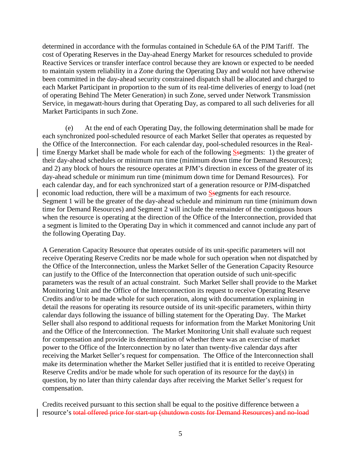determined in accordance with the formulas contained in Schedule 6A of the PJM Tariff. The cost of Operating Reserves in the Day-ahead Energy Market for resources scheduled to provide Reactive Services or transfer interface control because they are known or expected to be needed to maintain system reliability in a Zone during the Operating Day and would not have otherwise been committed in the day-ahead security constrained dispatch shall be allocated and charged to each Market Participant in proportion to the sum of its real-time deliveries of energy to load (net of operating Behind The Meter Generation) in such Zone, served under Network Transmission Service, in megawatt-hours during that Operating Day, as compared to all such deliveries for all Market Participants in such Zone.

 (e) At the end of each Operating Day, the following determination shall be made for each synchronized pool-scheduled resource of each Market Seller that operates as requested by the Office of the Interconnection. For each calendar day, pool-scheduled resources in the Realtime Energy Market shall be made whole for each of the following Ssegments: 1) the greater of their day-ahead schedules or minimum run time (minimum down time for Demand Resources); and 2) any block of hours the resource operates at PJM's direction in excess of the greater of its day-ahead schedule or minimum run time (minimum down time for Demand Resources). For each calendar day, and for each synchronized start of a generation resource or PJM-dispatched economic load reduction, there will be a maximum of two Ssegments for each resource. Segment 1 will be the greater of the day-ahead schedule and minimum run time (minimum down time for Demand Resources) and Segment 2 will include the remainder of the contiguous hours when the resource is operating at the direction of the Office of the Interconnection, provided that a segment is limited to the Operating Day in which it commenced and cannot include any part of the following Operating Day.

A Generation Capacity Resource that operates outside of its unit-specific parameters will not receive Operating Reserve Credits nor be made whole for such operation when not dispatched by the Office of the Interconnection, unless the Market Seller of the Generation Capacity Resource can justify to the Office of the Interconnection that operation outside of such unit-specific parameters was the result of an actual constraint. Such Market Seller shall provide to the Market Monitoring Unit and the Office of the Interconnection its request to receive Operating Reserve Credits and/or to be made whole for such operation, along with documentation explaining in detail the reasons for operating its resource outside of its unit-specific parameters, within thirty calendar days following the issuance of billing statement for the Operating Day. The Market Seller shall also respond to additional requests for information from the Market Monitoring Unit and the Office of the Interconnection. The Market Monitoring Unit shall evaluate such request for compensation and provide its determination of whether there was an exercise of market power to the Office of the Interconnection by no later than twenty-five calendar days after receiving the Market Seller's request for compensation. The Office of the Interconnection shall make its determination whether the Market Seller justified that it is entitled to receive Operating Reserve Credits and/or be made whole for such operation of its resource for the day(s) in question, by no later than thirty calendar days after receiving the Market Seller's request for compensation.

Credits received pursuant to this section shall be equal to the positive difference between a resource's total offered price for start-up (shutdown costs for Demand Resources) and no-load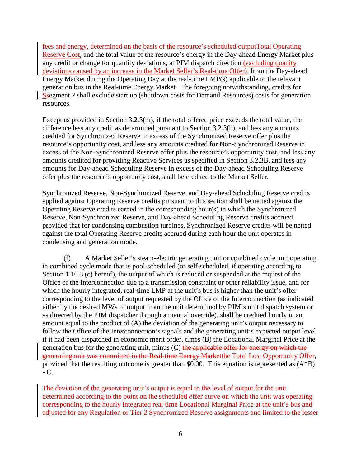fees and energy, determined on the basis of the resource's scheduled outputTotal Operating Reserve Cost, and the total value of the resource's energy in the Day-ahead Energy Market plus any credit or change for quantity deviations, at PJM dispatch direction (excluding quanity deviations caused by an increase in the Market Seller's Real-time Offer), from the Day-ahead Energy Market during the Operating Day at the real-time LMP(s) applicable to the relevant generation bus in the Real-time Energy Market. The foregoing notwithstanding, credits for Ssegment 2 shall exclude start up (shutdown costs for Demand Resources) costs for generation resources.

Except as provided in Section 3.2.3(m), if the total offered price exceeds the total value, the difference less any credit as determined pursuant to Section 3.2.3(b), and less any amounts credited for Synchronized Reserve in excess of the Synchronized Reserve offer plus the resource's opportunity cost, and less any amounts credited for Non-Synchronized Reserve in excess of the Non-Synchronized Reserve offer plus the resource's opportunity cost, and less any amounts credited for providing Reactive Services as specified in Section 3.2.3B, and less any amounts for Day-ahead Scheduling Reserve in excess of the Day-ahead Scheduling Reserve offer plus the resource's opportunity cost, shall be credited to the Market Seller.

Synchronized Reserve, Non-Synchronized Reserve, and Day-ahead Scheduling Reserve credits applied against Operating Reserve credits pursuant to this section shall be netted against the Operating Reserve credits earned in the corresponding hour(s) in which the Synchronized Reserve, Non-Synchronized Reserve, and Day-ahead Scheduling Reserve credits accrued, provided that for condensing combustion turbines, Synchronized Reserve credits will be netted against the total Operating Reserve credits accrued during each hour the unit operates in condensing and generation mode.

(f) A Market Seller's steam-electric generating unit or combined cycle unit operating in combined cycle mode that is pool-scheduled (or self-scheduled, if operating according to Section 1.10.3 (c) hereof), the output of which is reduced or suspended at the request of the Office of the Interconnection due to a transmission constraint or other reliability issue, and for which the hourly integrated, real-time LMP at the unit's bus is higher than the unit's offer corresponding to the level of output requested by the Office of the Interconnection (as indicated either by the desired MWs of output from the unit determined by PJM's unit dispatch system or as directed by the PJM dispatcher through a manual override), shall be credited hourly in an amount equal to the product of (A) the deviation of the generating unit's output necessary to follow the Office of the Interconnection's signals and the generating unit's expected output level if it had been dispatched in economic merit order, times (B) the Locational Marginal Price at the generation bus for the generating unit, minus  $(C)$  the applicable offer for energy on which the generating unit was committed in the Real-time Energy Marketthe Total Lost Opportunity Offer, provided that the resulting outcome is greater than \$0.00. This equation is represented as (A\*B)  $-C<sub>1</sub>$ 

The deviation of the generating unit's output is equal to the level of output for the unit determined according to the point on the scheduled offer curve on which the unit was operating corresponding to the hourly integrated real time Locational Marginal Price at the unit's bus and adjusted for any Regulation or Tier 2 Synchronized Reserve assignments and limited to the lesser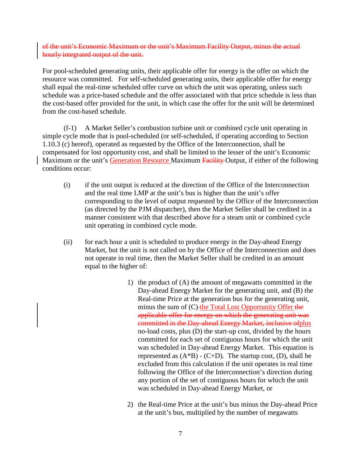of the unit's Economic Maximum or the unit's Maximum Facility Output, minus the actual hourly integrated output of the unit.

For pool-scheduled generating units, their applicable offer for energy is the offer on which the resource was committed. For self-scheduled generating units, their applicable offer for energy shall equal the real-time scheduled offer curve on which the unit was operating, unless such schedule was a price-based schedule and the offer associated with that price schedule is less than the cost-based offer provided for the unit, in which case the offer for the unit will be determined from the cost-based schedule.

(f-1) A Market Seller's combustion turbine unit or combined cycle unit operating in simple cycle mode that is pool-scheduled (or self-scheduled, if operating according to Section 1.10.3 (c) hereof), operated as requested by the Office of the Interconnection, shall be compensated for lost opportunity cost, and shall be limited to the lesser of the unit's Economic Maximum or the unit's Generation Resource Maximum Facility Output, if either of the following conditions occur:

- (i) if the unit output is reduced at the direction of the Office of the Interconnection and the real time LMP at the unit's bus is higher than the unit's offer corresponding to the level of output requested by the Office of the Interconnection (as directed by the PJM dispatcher), then the Market Seller shall be credited in a manner consistent with that described above for a steam unit or combined cycle unit operating in combined cycle mode.
- (ii) for each hour a unit is scheduled to produce energy in the Day-ahead Energy Market, but the unit is not called on by the Office of the Interconnection and does not operate in real time, then the Market Seller shall be credited in an amount equal to the higher of:
	- 1) the product of (A) the amount of megawatts committed in the Day-ahead Energy Market for the generating unit, and (B) the Real-time Price at the generation bus for the generating unit, minus the sum of  $(C)$ -the Total Lost Opportunity Offer the applicable offer for energy on which the generating unit was committed in the Day-ahead Energy Market, inclusive ofplus no-load costs, plus (D) the start-up cost, divided by the hours committed for each set of contiguous hours for which the unit was scheduled in Day-ahead Energy Market. This equation is represented as  $(A * B) - (C+D)$ . The startup cost,  $(D)$ , shall be excluded from this calculation if the unit operates in real time following the Office of the Interconnection's direction during any portion of the set of contiguous hours for which the unit was scheduled in Day-ahead Energy Market, or
	- 2) the Real-time Price at the unit's bus minus the Day-ahead Price at the unit's bus, multiplied by the number of megawatts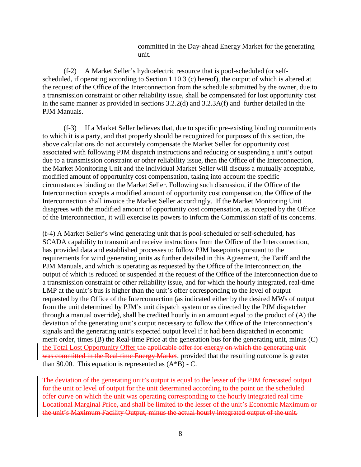committed in the Day-ahead Energy Market for the generating unit.

(f-2) A Market Seller's hydroelectric resource that is pool-scheduled (or selfscheduled, if operating according to Section 1.10.3 (c) hereof), the output of which is altered at the request of the Office of the Interconnection from the schedule submitted by the owner, due to a transmission constraint or other reliability issue, shall be compensated for lost opportunity cost in the same manner as provided in sections 3.2.2(d) and 3.2.3A(f) and further detailed in the PJM Manuals.

(f-3) If a Market Seller believes that, due to specific pre-existing binding commitments to which it is a party, and that properly should be recognized for purposes of this section, the above calculations do not accurately compensate the Market Seller for opportunity cost associated with following PJM dispatch instructions and reducing or suspending a unit's output due to a transmission constraint or other reliability issue, then the Office of the Interconnection, the Market Monitoring Unit and the individual Market Seller will discuss a mutually acceptable, modified amount of opportunity cost compensation, taking into account the specific circumstances binding on the Market Seller. Following such discussion, if the Office of the Interconnection accepts a modified amount of opportunity cost compensation, the Office of the Interconnection shall invoice the Market Seller accordingly. If the Market Monitoring Unit disagrees with the modified amount of opportunity cost compensation, as accepted by the Office of the Interconnection, it will exercise its powers to inform the Commission staff of its concerns.

(f-4) A Market Seller's wind generating unit that is pool-scheduled or self-scheduled, has SCADA capability to transmit and receive instructions from the Office of the Interconnection, has provided data and established processes to follow PJM basepoints pursuant to the requirements for wind generating units as further detailed in this Agreement, the Tariff and the PJM Manuals, and which is operating as requested by the Office of the Interconnection, the output of which is reduced or suspended at the request of the Office of the Interconnection due to a transmission constraint or other reliability issue, and for which the hourly integrated, real-time LMP at the unit's bus is higher than the unit's offer corresponding to the level of output requested by the Office of the Interconnection (as indicated either by the desired MWs of output from the unit determined by PJM's unit dispatch system or as directed by the PJM dispatcher through a manual override), shall be credited hourly in an amount equal to the product of (A) the deviation of the generating unit's output necessary to follow the Office of the Interconnection's signals and the generating unit's expected output level if it had been dispatched in economic merit order, times (B) the Real-time Price at the generation bus for the generating unit, minus (C) the Total Lost Opportunity Offer the applicable offer for energy on which the generating unit was committed in the Real-time Energy Market, provided that the resulting outcome is greater than \$0.00. This equation is represented as  $(A*B)$  - C.

The deviation of the generating unit's output is equal to the lesser of the PJM forecasted output for the unit or level of output for the unit determined according to the point on the scheduled offer curve on which the unit was operating corresponding to the hourly integrated real time Locational Marginal Price, and shall be limited to the lesser of the unit's Economic Maximum or the unit's Maximum Facility Output, minus the actual hourly integrated output of the unit.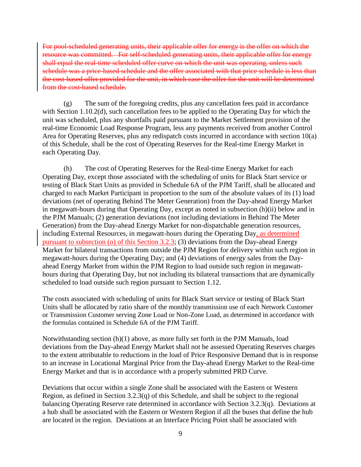For pool-scheduled generating units, their applicable offer for energy is the offer on which the resource was committed. For self-scheduled generating units, their applicable offer for energy shall equal the real-time scheduled offer curve on which the unit was operating, unless such schedule was a price-based schedule and the offer associated with that price schedule is less than the cost-based offer provided for the unit, in which case the offer for the unit will be determined from the cost-based schedule.

(g) The sum of the foregoing credits, plus any cancellation fees paid in accordance with Section 1.10.2(d), such cancellation fees to be applied to the Operating Day for which the unit was scheduled, plus any shortfalls paid pursuant to the Market Settlement provision of the real-time Economic Load Response Program, less any payments received from another Control Area for Operating Reserves, plus any redispatch costs incurred in accordance with section 10(a) of this Schedule, shall be the cost of Operating Reserves for the Real-time Energy Market in each Operating Day.

(h) The cost of Operating Reserves for the Real-time Energy Market for each Operating Day, except those associated with the scheduling of units for Black Start service or testing of Black Start Units as provided in Schedule 6A of the PJM Tariff, shall be allocated and charged to each Market Participant in proportion to the sum of the absolute values of its (1) load deviations (net of operating Behind The Meter Generation) from the Day-ahead Energy Market in megawatt-hours during that Operating Day, except as noted in subsection (h)(ii) below and in the PJM Manuals; (2) generation deviations (not including deviations in Behind The Meter Generation) from the Day-ahead Energy Market for non-dispatchable generation resources, including External Resources, in megawatt-hours during the Operating Day, as determined pursuant to subsection (o) of this Section 3.2.3; (3) deviations from the Day-ahead Energy Market for bilateral transactions from outside the PJM Region for delivery within such region in megawatt-hours during the Operating Day; and (4) deviations of energy sales from the Dayahead Energy Market from within the PJM Region to load outside such region in megawatthours during that Operating Day, but not including its bilateral transactions that are dynamically scheduled to load outside such region pursuant to Section 1.12.

The costs associated with scheduling of units for Black Start service or testing of Black Start Units shall be allocated by ratio share of the monthly transmission use of each Network Customer or Transmission Customer serving Zone Load or Non-Zone Load, as determined in accordance with the formulas contained in Schedule 6A of the PJM Tariff.

Notwithstanding section (h)(1) above, as more fully set forth in the PJM Manuals, load deviations from the Day-ahead Energy Market shall not be assessed Operating Reserves charges to the extent attributable to reductions in the load of Price Responsive Demand that is in response to an increase in Locational Marginal Price from the Day-ahead Energy Market to the Real-time Energy Market and that is in accordance with a properly submitted PRD Curve.

Deviations that occur within a single Zone shall be associated with the Eastern or Western Region, as defined in Section 3.2.3(q) of this Schedule, and shall be subject to the regional balancing Operating Reserve rate determined in accordance with Section 3.2.3(q). Deviations at a hub shall be associated with the Eastern or Western Region if all the buses that define the hub are located in the region. Deviations at an Interface Pricing Point shall be associated with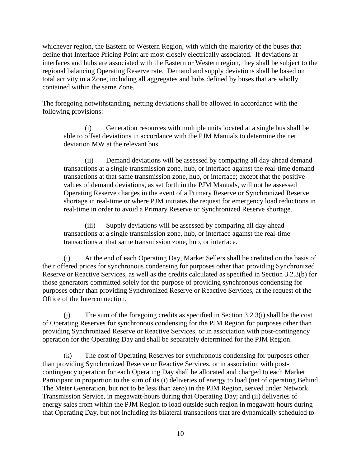whichever region, the Eastern or Western Region, with which the majority of the buses that define that Interface Pricing Point are most closely electrically associated. If deviations at interfaces and hubs are associated with the Eastern or Western region, they shall be subject to the regional balancing Operating Reserve rate. Demand and supply deviations shall be based on total activity in a Zone, including all aggregates and hubs defined by buses that are wholly contained within the same Zone.

The foregoing notwithstanding, netting deviations shall be allowed in accordance with the following provisions:

(i) Generation resources with multiple units located at a single bus shall be able to offset deviations in accordance with the PJM Manuals to determine the net deviation MW at the relevant bus.

(ii) Demand deviations will be assessed by comparing all day-ahead demand transactions at a single transmission zone, hub, or interface against the real-time demand transactions at that same transmission zone, hub, or interface; except that the positive values of demand deviations, as set forth in the PJM Manuals, will not be assessed Operating Reserve charges in the event of a Primary Reserve or Synchronized Reserve shortage in real-time or where PJM initiates the request for emergency load reductions in real-time in order to avoid a Primary Reserve or Synchronized Reserve shortage.

(iii) Supply deviations will be assessed by comparing all day-ahead transactions at a single transmission zone, hub, or interface against the real-time transactions at that same transmission zone, hub, or interface.

(i) At the end of each Operating Day, Market Sellers shall be credited on the basis of their offered prices for synchronous condensing for purposes other than providing Synchronized Reserve or Reactive Services, as well as the credits calculated as specified in Section 3.2.3(b) for those generators committed solely for the purpose of providing synchronous condensing for purposes other than providing Synchronized Reserve or Reactive Services, at the request of the Office of the Interconnection.

(j) The sum of the foregoing credits as specified in Section 3.2.3(i) shall be the cost of Operating Reserves for synchronous condensing for the PJM Region for purposes other than providing Synchronized Reserve or Reactive Services, or in association with post-contingency operation for the Operating Day and shall be separately determined for the PJM Region.

(k) The cost of Operating Reserves for synchronous condensing for purposes other than providing Synchronized Reserve or Reactive Services, or in association with postcontingency operation for each Operating Day shall be allocated and charged to each Market Participant in proportion to the sum of its (i) deliveries of energy to load (net of operating Behind The Meter Generation, but not to be less than zero) in the PJM Region, served under Network Transmission Service, in megawatt-hours during that Operating Day; and (ii) deliveries of energy sales from within the PJM Region to load outside such region in megawatt-hours during that Operating Day, but not including its bilateral transactions that are dynamically scheduled to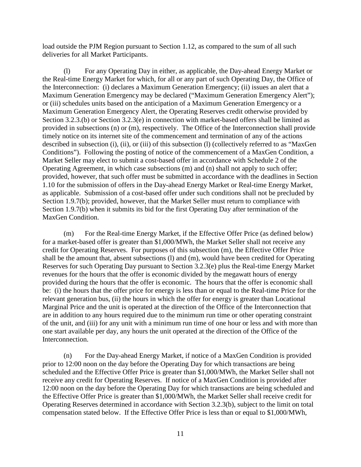load outside the PJM Region pursuant to Section 1.12, as compared to the sum of all such deliveries for all Market Participants.

(l) For any Operating Day in either, as applicable, the Day-ahead Energy Market or the Real-time Energy Market for which, for all or any part of such Operating Day, the Office of the Interconnection: (i) declares a Maximum Generation Emergency; (ii) issues an alert that a Maximum Generation Emergency may be declared ("Maximum Generation Emergency Alert"); or (iii) schedules units based on the anticipation of a Maximum Generation Emergency or a Maximum Generation Emergency Alert, the Operating Reserves credit otherwise provided by Section 3.2.3.(b) or Section 3.2.3(e) in connection with market-based offers shall be limited as provided in subsections (n) or (m), respectively. The Office of the Interconnection shall provide timely notice on its internet site of the commencement and termination of any of the actions described in subsection (i), (ii), or (iii) of this subsection (l) (collectively referred to as "MaxGen Conditions"). Following the posting of notice of the commencement of a MaxGen Condition, a Market Seller may elect to submit a cost-based offer in accordance with Schedule 2 of the Operating Agreement, in which case subsections (m) and (n) shall not apply to such offer; provided, however, that such offer must be submitted in accordance with the deadlines in Section 1.10 for the submission of offers in the Day-ahead Energy Market or Real-time Energy Market, as applicable. Submission of a cost-based offer under such conditions shall not be precluded by Section 1.9.7(b); provided, however, that the Market Seller must return to compliance with Section 1.9.7(b) when it submits its bid for the first Operating Day after termination of the MaxGen Condition.

(m) For the Real-time Energy Market, if the Effective Offer Price (as defined below) for a market-based offer is greater than \$1,000/MWh, the Market Seller shall not receive any credit for Operating Reserves. For purposes of this subsection (m), the Effective Offer Price shall be the amount that, absent subsections (l) and (m), would have been credited for Operating Reserves for such Operating Day pursuant to Section 3.2.3(e) plus the Real-time Energy Market revenues for the hours that the offer is economic divided by the megawatt hours of energy provided during the hours that the offer is economic. The hours that the offer is economic shall be: (i) the hours that the offer price for energy is less than or equal to the Real-time Price for the relevant generation bus, (ii) the hours in which the offer for energy is greater than Locational Marginal Price and the unit is operated at the direction of the Office of the Interconnection that are in addition to any hours required due to the minimum run time or other operating constraint of the unit, and (iii) for any unit with a minimum run time of one hour or less and with more than one start available per day, any hours the unit operated at the direction of the Office of the Interconnection.

(n) For the Day-ahead Energy Market, if notice of a MaxGen Condition is provided prior to 12:00 noon on the day before the Operating Day for which transactions are being scheduled and the Effective Offer Price is greater than \$1,000/MWh, the Market Seller shall not receive any credit for Operating Reserves. If notice of a MaxGen Condition is provided after 12:00 noon on the day before the Operating Day for which transactions are being scheduled and the Effective Offer Price is greater than \$1,000/MWh, the Market Seller shall receive credit for Operating Reserves determined in accordance with Section 3.2.3(b), subject to the limit on total compensation stated below. If the Effective Offer Price is less than or equal to \$1,000/MWh,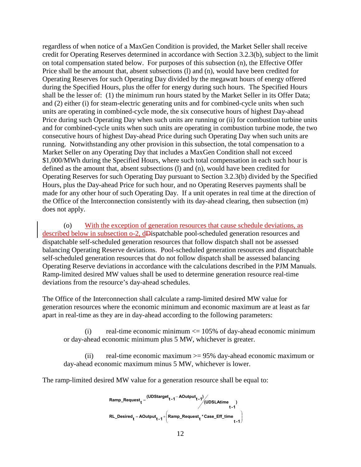regardless of when notice of a MaxGen Condition is provided, the Market Seller shall receive credit for Operating Reserves determined in accordance with Section 3.2.3(b), subject to the limit on total compensation stated below. For purposes of this subsection (n), the Effective Offer Price shall be the amount that, absent subsections (l) and (n), would have been credited for Operating Reserves for such Operating Day divided by the megawatt hours of energy offered during the Specified Hours, plus the offer for energy during such hours. The Specified Hours shall be the lesser of: (1) the minimum run hours stated by the Market Seller in its Offer Data; and (2) either (i) for steam-electric generating units and for combined-cycle units when such units are operating in combined-cycle mode, the six consecutive hours of highest Day-ahead Price during such Operating Day when such units are running or (ii) for combustion turbine units and for combined-cycle units when such units are operating in combustion turbine mode, the two consecutive hours of highest Day-ahead Price during such Operating Day when such units are running. Notwithstanding any other provision in this subsection, the total compensation to a Market Seller on any Operating Day that includes a MaxGen Condition shall not exceed \$1,000/MWh during the Specified Hours, where such total compensation in each such hour is defined as the amount that, absent subsections (l) and (n), would have been credited for Operating Reserves for such Operating Day pursuant to Section 3.2.3(b) divided by the Specified Hours, plus the Day-ahead Price for such hour, and no Operating Reserves payments shall be made for any other hour of such Operating Day. If a unit operates in real time at the direction of the Office of the Interconnection consistently with its day-ahead clearing, then subsection (m) does not apply.

(o) With the exception of generation resources that cause schedule deviations, as described below in subsection o-2, dDispatchable pool-scheduled generation resources and dispatchable self-scheduled generation resources that follow dispatch shall not be assessed balancing Operating Reserve deviations. Pool-scheduled generation resources and dispatchable self-scheduled generation resources that do not follow dispatch shall be assessed balancing Operating Reserve deviations in accordance with the calculations described in the PJM Manuals. Ramp-limited desired MW values shall be used to determine generation resource real-time deviations from the resource's day-ahead schedules.

The Office of the Interconnection shall calculate a ramp-limited desired MW value for generation resources where the economic minimum and economic maximum are at least as far apart in real-time as they are in day-ahead according to the following parameters:

(i) real-time economic minimum  $\leq$  105% of day-ahead economic minimum or day-ahead economic minimum plus 5 MW, whichever is greater.

(ii) real-time economic maximum >= 95% day-ahead economic maximum or day-ahead economic maximum minus 5 MW, whichever is lower.

The ramp-limited desired MW value for a generation resource shall be equal to:

$$
Ramp\_Request_t = \frac{(UDStage_t - 1 - AOutput_{t-1})}{(UDSLAtime)} \cdot t - 1
$$
\n
$$
RL\_Desired_t = AOutput_{t-1} + \left(Ramp\_Request_t * Case\_Eff\_time \atop t-1\right)
$$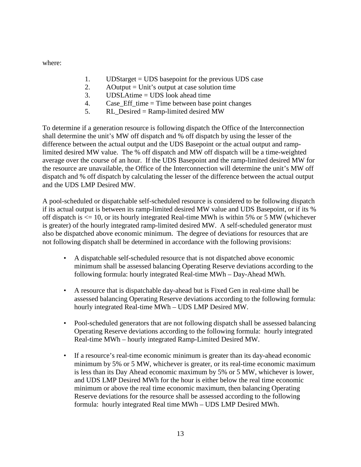where:

- 1. UDStarget = UDS basepoint for the previous UDS case
- 2. A Output  $=$  Unit's output at case solution time
- 3. UDSLAtime = UDS look ahead time
- 4. Case\_Eff\_time = Time between base point changes
- 5. RL\_Desired = Ramp-limited desired MW

To determine if a generation resource is following dispatch the Office of the Interconnection shall determine the unit's MW off dispatch and % off dispatch by using the lesser of the difference between the actual output and the UDS Basepoint or the actual output and ramplimited desired MW value. The % off dispatch and MW off dispatch will be a time-weighted average over the course of an hour. If the UDS Basepoint and the ramp-limited desired MW for the resource are unavailable, the Office of the Interconnection will determine the unit's MW off dispatch and % off dispatch by calculating the lesser of the difference between the actual output and the UDS LMP Desired MW.

A pool-scheduled or dispatchable self-scheduled resource is considered to be following dispatch if its actual output is between its ramp-limited desired MW value and UDS Basepoint, or if its % off dispatch is  $\leq$  10, or its hourly integrated Real-time MWh is within 5% or 5 MW (whichever is greater) of the hourly integrated ramp-limited desired MW. A self-scheduled generator must also be dispatched above economic minimum. The degree of deviations for resources that are not following dispatch shall be determined in accordance with the following provisions:

- A dispatchable self-scheduled resource that is not dispatched above economic minimum shall be assessed balancing Operating Reserve deviations according to the following formula: hourly integrated Real-time MWh – Day-Ahead MWh.
- A resource that is dispatchable day-ahead but is Fixed Gen in real-time shall be assessed balancing Operating Reserve deviations according to the following formula: hourly integrated Real-time MWh – UDS LMP Desired MW.
- Pool-scheduled generators that are not following dispatch shall be assessed balancing Operating Reserve deviations according to the following formula: hourly integrated Real-time MWh – hourly integrated Ramp-Limited Desired MW.
- If a resource's real-time economic minimum is greater than its day-ahead economic minimum by 5% or 5 MW, whichever is greater, or its real-time economic maximum is less than its Day Ahead economic maximum by 5% or 5 MW, whichever is lower, and UDS LMP Desired MWh for the hour is either below the real time economic minimum or above the real time economic maximum, then balancing Operating Reserve deviations for the resource shall be assessed according to the following formula: hourly integrated Real time MWh – UDS LMP Desired MWh.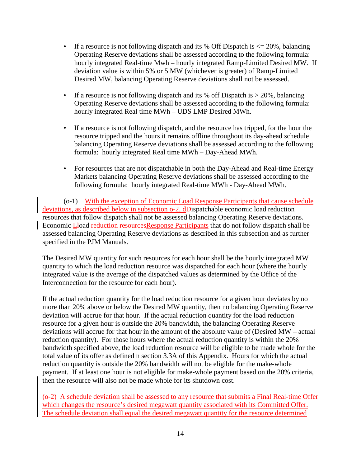- If a resource is not following dispatch and its % Off Dispatch is  $\leq$  20%, balancing Operating Reserve deviations shall be assessed according to the following formula: hourly integrated Real-time Mwh – hourly integrated Ramp-Limited Desired MW. If deviation value is within 5% or 5 MW (whichever is greater) of Ramp-Limited Desired MW, balancing Operating Reserve deviations shall not be assessed.
- If a resource is not following dispatch and its % off Dispatch is  $> 20\%$ , balancing Operating Reserve deviations shall be assessed according to the following formula: hourly integrated Real time MWh – UDS LMP Desired MWh.
- If a resource is not following dispatch, and the resource has tripped, for the hour the resource tripped and the hours it remains offline throughout its day-ahead schedule balancing Operating Reserve deviations shall be assessed according to the following formula: hourly integrated Real time MWh – Day-Ahead MWh.
- For resources that are not dispatchable in both the Day-Ahead and Real-time Energy Markets balancing Operating Reserve deviations shall be assessed according to the following formula: hourly integrated Real-time MWh - Day-Ahead MWh.

(o-1) With the exception of Economic Load Response Participants that cause schedule deviations, as described below in subsection o-2, dDispatchable economic load reduction resources that follow dispatch shall not be assessed balancing Operating Reserve deviations. Economic Lload reduction resourcesResponse Participants that do not follow dispatch shall be assessed balancing Operating Reserve deviations as described in this subsection and as further specified in the PJM Manuals.

The Desired MW quantity for such resources for each hour shall be the hourly integrated MW quantity to which the load reduction resource was dispatched for each hour (where the hourly integrated value is the average of the dispatched values as determined by the Office of the Interconnection for the resource for each hour).

If the actual reduction quantity for the load reduction resource for a given hour deviates by no more than 20% above or below the Desired MW quantity, then no balancing Operating Reserve deviation will accrue for that hour. If the actual reduction quantity for the load reduction resource for a given hour is outside the 20% bandwidth, the balancing Operating Reserve deviations will accrue for that hour in the amount of the absolute value of (Desired MW – actual reduction quantity). For those hours where the actual reduction quantity is within the 20% bandwidth specified above, the load reduction resource will be eligible to be made whole for the total value of its offer as defined n section 3.3A of this Appendix. Hours for which the actual reduction quantity is outside the 20% bandwidth will not be eligible for the make-whole payment. If at least one hour is not eligible for make-whole payment based on the 20% criteria, then the resource will also not be made whole for its shutdown cost.

(o-2) A schedule deviation shall be assessed to any resource that submits a Final Real-time Offer which changes the resource's desired megawatt quantity associated with its Committed Offer. The schedule deviation shall equal the desired megawatt quantity for the resource determined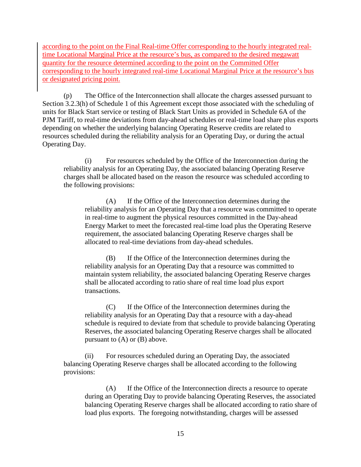according to the point on the Final Real-time Offer corresponding to the hourly integrated realtime Locational Marginal Price at the resource's bus, as compared to the desired megawatt quantity for the resource determined according to the point on the Committed Offer corresponding to the hourly integrated real-time Locational Marginal Price at the resource's bus or designated pricing point.

(p) The Office of the Interconnection shall allocate the charges assessed pursuant to Section 3.2.3(h) of Schedule 1 of this Agreement except those associated with the scheduling of units for Black Start service or testing of Black Start Units as provided in Schedule 6A of the PJM Tariff, to real-time deviations from day-ahead schedules or real-time load share plus exports depending on whether the underlying balancing Operating Reserve credits are related to resources scheduled during the reliability analysis for an Operating Day, or during the actual Operating Day.

(i) For resources scheduled by the Office of the Interconnection during the reliability analysis for an Operating Day, the associated balancing Operating Reserve charges shall be allocated based on the reason the resource was scheduled according to the following provisions:

(A) If the Office of the Interconnection determines during the reliability analysis for an Operating Day that a resource was committed to operate in real-time to augment the physical resources committed in the Day-ahead Energy Market to meet the forecasted real-time load plus the Operating Reserve requirement, the associated balancing Operating Reserve charges shall be allocated to real-time deviations from day-ahead schedules.

(B) If the Office of the Interconnection determines during the reliability analysis for an Operating Day that a resource was committed to maintain system reliability, the associated balancing Operating Reserve charges shall be allocated according to ratio share of real time load plus export transactions.

(C) If the Office of the Interconnection determines during the reliability analysis for an Operating Day that a resource with a day-ahead schedule is required to deviate from that schedule to provide balancing Operating Reserves, the associated balancing Operating Reserve charges shall be allocated pursuant to (A) or (B) above.

(ii) For resources scheduled during an Operating Day, the associated balancing Operating Reserve charges shall be allocated according to the following provisions:

(A) If the Office of the Interconnection directs a resource to operate during an Operating Day to provide balancing Operating Reserves, the associated balancing Operating Reserve charges shall be allocated according to ratio share of load plus exports. The foregoing notwithstanding, charges will be assessed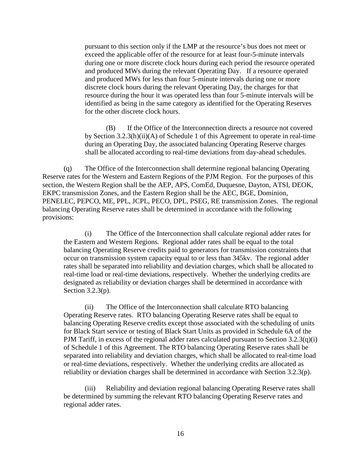pursuant to this section only if the LMP at the resource's bus does not meet or exceed the applicable offer of the resource for at least four-5-minute intervals during one or more discrete clock hours during each period the resource operated and produced MWs during the relevant Operating Day. If a resource operated and produced MWs for less than four 5-minute intervals during one or more discrete clock hours during the relevant Operating Day, the charges for that resource during the hour it was operated less than four 5-minute intervals will be identified as being in the same category as identified for the Operating Reserves for the other discrete clock hours.

(B) If the Office of the Interconnection directs a resource not covered by Section 3.2.3(h)(ii)(A) of Schedule 1 of this Agreement to operate in real-time during an Operating Day, the associated balancing Operating Reserve charges shall be allocated according to real-time deviations from day-ahead schedules.

(q) The Office of the Interconnection shall determine regional balancing Operating Reserve rates for the Western and Eastern Regions of the PJM Region. For the purposes of this section, the Western Region shall be the AEP, APS, ComEd, Duquesne, Dayton, ATSI, DEOK, EKPC transmission Zones, and the Eastern Region shall be the AEC, BGE, Dominion, PENELEC, PEPCO, ME, PPL, JCPL, PECO, DPL, PSEG, RE transmission Zones. The regional balancing Operating Reserve rates shall be determined in accordance with the following provisions:

(i) The Office of the Interconnection shall calculate regional adder rates for the Eastern and Western Regions. Regional adder rates shall be equal to the total balancing Operating Reserve credits paid to generators for transmission constraints that occur on transmission system capacity equal to or less than 345kv. The regional adder rates shall be separated into reliability and deviation charges, which shall be allocated to real-time load or real-time deviations, respectively. Whether the underlying credits are designated as reliability or deviation charges shall be determined in accordance with Section 3.2.3(p).

(ii) The Office of the Interconnection shall calculate RTO balancing Operating Reserve rates. RTO balancing Operating Reserve rates shall be equal to balancing Operating Reserve credits except those associated with the scheduling of units for Black Start service or testing of Black Start Units as provided in Schedule 6A of the PJM Tariff, in excess of the regional adder rates calculated pursuant to Section  $3.2.3(q)(i)$ of Schedule 1 of this Agreement. The RTO balancing Operating Reserve rates shall be separated into reliability and deviation charges, which shall be allocated to real-time load or real-time deviations, respectively. Whether the underlying credits are allocated as reliability or deviation charges shall be determined in accordance with Section 3.2.3(p).

(iii) Reliability and deviation regional balancing Operating Reserve rates shall be determined by summing the relevant RTO balancing Operating Reserve rates and regional adder rates.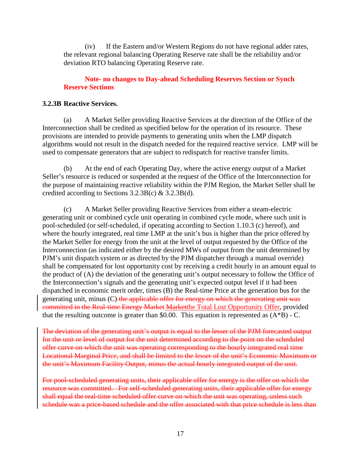(iv) If the Eastern and/or Western Regions do not have regional adder rates, the relevant regional balancing Operating Reserve rate shall be the reliability and/or deviation RTO balancing Operating Reserve rate.

# **Note- no changes to Day-ahead Scheduling Reserves Section or Synch Reserve Sections**

# **3.2.3B Reactive Services.**

(a) A Market Seller providing Reactive Services at the direction of the Office of the Interconnection shall be credited as specified below for the operation of its resource. These provisions are intended to provide payments to generating units when the LMP dispatch algorithms would not result in the dispatch needed for the required reactive service. LMP will be used to compensate generators that are subject to redispatch for reactive transfer limits.

(b) At the end of each Operating Day, where the active energy output of a Market Seller's resource is reduced or suspended at the request of the Office of the Interconnection for the purpose of maintaining reactive reliability within the PJM Region, the Market Seller shall be credited according to Sections 3.2.3B(c) & 3.2.3B(d).

(c) A Market Seller providing Reactive Services from either a steam-electric generating unit or combined cycle unit operating in combined cycle mode, where such unit is pool-scheduled (or self-scheduled, if operating according to Section 1.10.3 (c) hereof), and where the hourly integrated, real time LMP at the unit's bus is higher than the price offered by the Market Seller for energy from the unit at the level of output requested by the Office of the Interconnection (as indicated either by the desired MWs of output from the unit determined by PJM's unit dispatch system or as directed by the PJM dispatcher through a manual override) shall be compensated for lost opportunity cost by receiving a credit hourly in an amount equal to the product of (A) the deviation of the generating unit's output necessary to follow the Office of the Interconnection's signals and the generating unit's expected output level if it had been dispatched in economic merit order, times (B) the Real-time Price at the generation bus for the generating unit, minus (C) the applicable offer for energy on which the generating unit was committed in the Real-time Energy Market Marketthe Total Lost Opportunity Offer, provided that the resulting outcome is greater than \$0.00. This equation is represented as  $(A*B)$  - C.

The deviation of the generating unit's output is equal to the lesser of the PJM forecasted output for the unit or level of output for the unit determined according to the point on the scheduled offer curve on which the unit was operating corresponding to the hourly integrated real time Locational Marginal Price, and shall be limited to the lesser of the unit's Economic Maximum or the unit's Maximum Facility Output, minus the actual hourly integrated output of the unit.

For pool-scheduled generating units, their applicable offer for energy is the offer on which the resource was committed. For self-scheduled generating units, their applicable offer for energy shall equal the real-time scheduled offer curve on which the unit was operating, unless such schedule was a price-based schedule and the offer associated with that price schedule is less than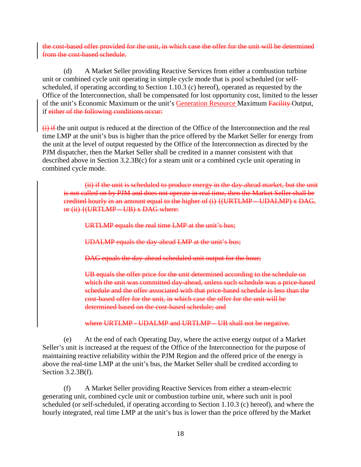the cost-based offer provided for the unit, in which case the offer for the unit will be determined from the cost-based schedule.

(d) A Market Seller providing Reactive Services from either a combustion turbine unit or combined cycle unit operating in simple cycle mode that is pool scheduled (or selfscheduled, if operating according to Section 1.10.3 (c) hereof), operated as requested by the Office of the Interconnection, shall be compensated for lost opportunity cost, limited to the lesser of the unit's Economic Maximum or the unit's Generation Resource Maximum Facility Output, if either of the following conditions occur:

 $(i)$  if the unit output is reduced at the direction of the Office of the Interconnection and the real time LMP at the unit's bus is higher than the price offered by the Market Seller for energy from the unit at the level of output requested by the Office of the Interconnection as directed by the PJM dispatcher, then the Market Seller shall be credited in a manner consistent with that described above in Section 3.2.3B(c) for a steam unit or a combined cycle unit operating in combined cycle mode.

(ii) if the unit is scheduled to produce energy in the day-ahead market, but the unit is not called on by PJM and does not operate in real time, then the Market Seller shall be credited hourly in an amount equal to the higher of (i) {(URTLMP – UDALMP) x DAG, or  $(ii)$   $\{$  (URTLMP – UB)  $x$  DAG where:

URTLMP equals the real time LMP at the unit's bus;

UDALMP equals the day-ahead LMP at the unit's bus;

DAG equals the day-ahead scheduled unit output for the hour;

UB equals the offer price for the unit determined according to the schedule on which the unit was committed day-ahead, unless such schedule was a price-based schedule and the offer associated with that price-based schedule is less than the cost-based offer for the unit, in which case the offer for the unit will be determined based on the cost-based schedule; and

where URTLMP - UDALMP and URTLMP – UB shall not be negative.

(e) At the end of each Operating Day, where the active energy output of a Market Seller's unit is increased at the request of the Office of the Interconnection for the purpose of maintaining reactive reliability within the PJM Region and the offered price of the energy is above the real-time LMP at the unit's bus, the Market Seller shall be credited according to Section 3.2.3B(f).

(f) A Market Seller providing Reactive Services from either a steam-electric generating unit, combined cycle unit or combustion turbine unit, where such unit is pool scheduled (or self-scheduled, if operating according to Section 1.10.3 (c) hereof), and where the hourly integrated, real time LMP at the unit's bus is lower than the price offered by the Market